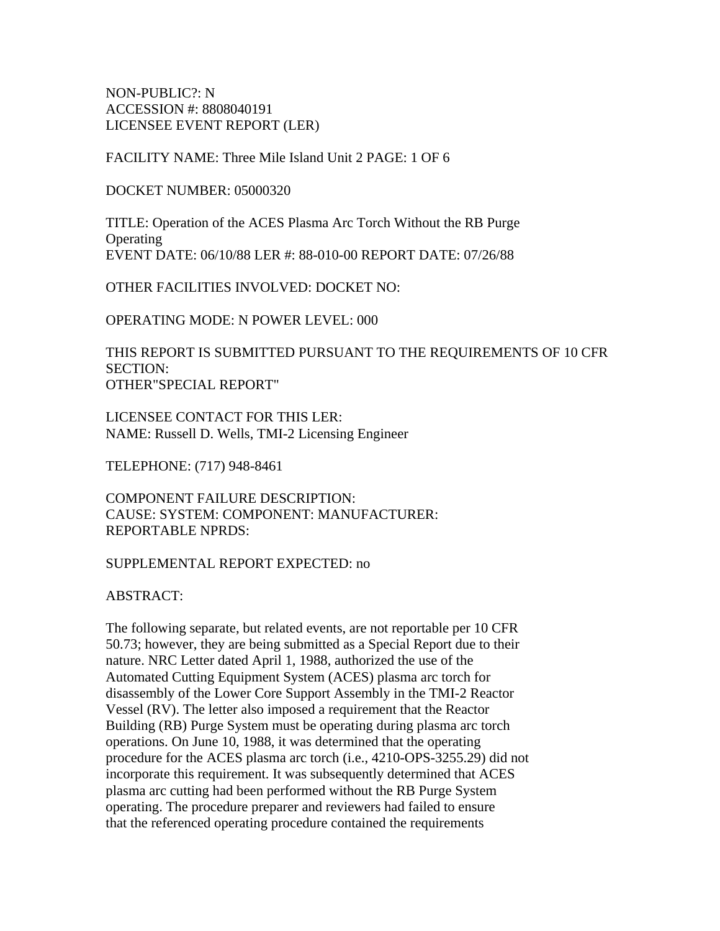NON-PUBLIC?: N ACCESSION #: 8808040191 LICENSEE EVENT REPORT (LER)

FACILITY NAME: Three Mile Island Unit 2 PAGE: 1 OF 6

DOCKET NUMBER: 05000320

TITLE: Operation of the ACES Plasma Arc Torch Without the RB Purge **Operating** EVENT DATE: 06/10/88 LER #: 88-010-00 REPORT DATE: 07/26/88

OTHER FACILITIES INVOLVED: DOCKET NO:

OPERATING MODE: N POWER LEVEL: 000

THIS REPORT IS SUBMITTED PURSUANT TO THE REQUIREMENTS OF 10 CFR SECTION: OTHER"SPECIAL REPORT"

LICENSEE CONTACT FOR THIS LER: NAME: Russell D. Wells, TMI-2 Licensing Engineer

TELEPHONE: (717) 948-8461

COMPONENT FAILURE DESCRIPTION: CAUSE: SYSTEM: COMPONENT: MANUFACTURER: REPORTABLE NPRDS:

#### SUPPLEMENTAL REPORT EXPECTED: no

ABSTRACT:

The following separate, but related events, are not reportable per 10 CFR 50.73; however, they are being submitted as a Special Report due to their nature. NRC Letter dated April 1, 1988, authorized the use of the Automated Cutting Equipment System (ACES) plasma arc torch for disassembly of the Lower Core Support Assembly in the TMI-2 Reactor Vessel (RV). The letter also imposed a requirement that the Reactor Building (RB) Purge System must be operating during plasma arc torch operations. On June 10, 1988, it was determined that the operating procedure for the ACES plasma arc torch (i.e., 4210-OPS-3255.29) did not incorporate this requirement. It was subsequently determined that ACES plasma arc cutting had been performed without the RB Purge System operating. The procedure preparer and reviewers had failed to ensure that the referenced operating procedure contained the requirements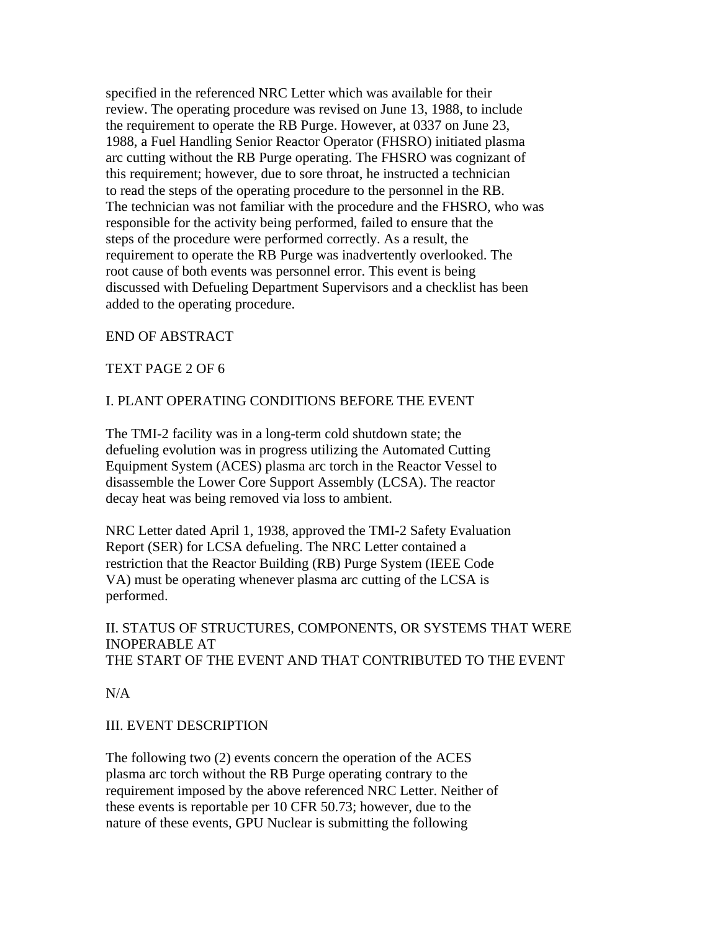specified in the referenced NRC Letter which was available for their review. The operating procedure was revised on June 13, 1988, to include the requirement to operate the RB Purge. However, at 0337 on June 23, 1988, a Fuel Handling Senior Reactor Operator (FHSRO) initiated plasma arc cutting without the RB Purge operating. The FHSRO was cognizant of this requirement; however, due to sore throat, he instructed a technician to read the steps of the operating procedure to the personnel in the RB. The technician was not familiar with the procedure and the FHSRO, who was responsible for the activity being performed, failed to ensure that the steps of the procedure were performed correctly. As a result, the requirement to operate the RB Purge was inadvertently overlooked. The root cause of both events was personnel error. This event is being discussed with Defueling Department Supervisors and a checklist has been added to the operating procedure.

# END OF ABSTRACT

### TEXT PAGE 2 OF 6

### I. PLANT OPERATING CONDITIONS BEFORE THE EVENT

The TMI-2 facility was in a long-term cold shutdown state; the defueling evolution was in progress utilizing the Automated Cutting Equipment System (ACES) plasma arc torch in the Reactor Vessel to disassemble the Lower Core Support Assembly (LCSA). The reactor decay heat was being removed via loss to ambient.

NRC Letter dated April 1, 1938, approved the TMI-2 Safety Evaluation Report (SER) for LCSA defueling. The NRC Letter contained a restriction that the Reactor Building (RB) Purge System (IEEE Code VA) must be operating whenever plasma arc cutting of the LCSA is performed.

### II. STATUS OF STRUCTURES, COMPONENTS, OR SYSTEMS THAT WERE INOPERABLE AT THE START OF THE EVENT AND THAT CONTRIBUTED TO THE EVENT

 $N/A$ 

### III. EVENT DESCRIPTION

The following two (2) events concern the operation of the ACES plasma arc torch without the RB Purge operating contrary to the requirement imposed by the above referenced NRC Letter. Neither of these events is reportable per 10 CFR 50.73; however, due to the nature of these events, GPU Nuclear is submitting the following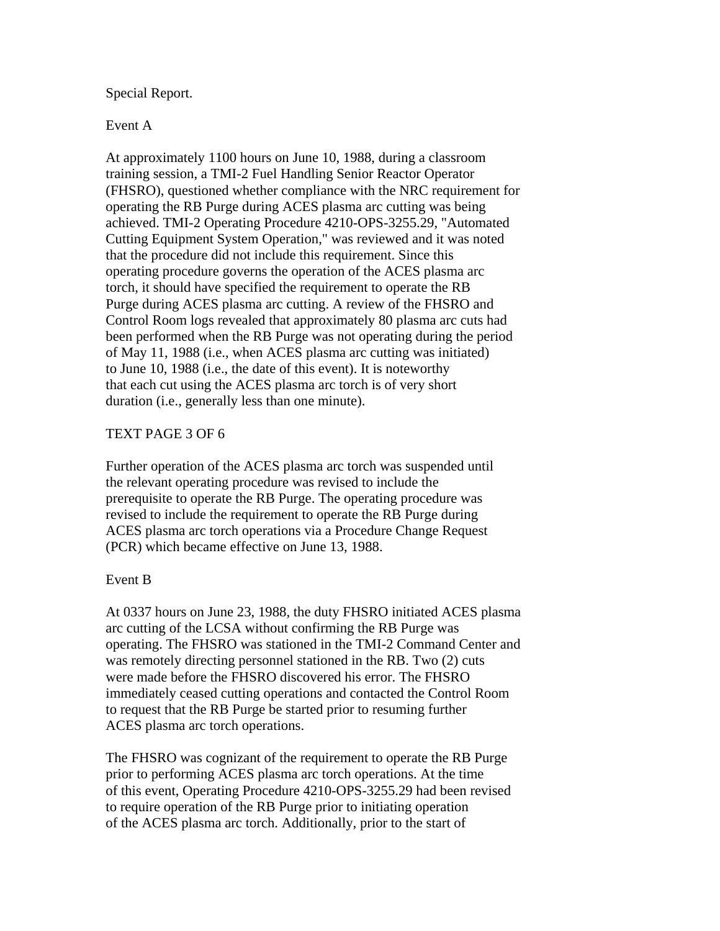### Special Report.

#### Event A

At approximately 1100 hours on June 10, 1988, during a classroom training session, a TMI-2 Fuel Handling Senior Reactor Operator (FHSRO), questioned whether compliance with the NRC requirement for operating the RB Purge during ACES plasma arc cutting was being achieved. TMI-2 Operating Procedure 4210-OPS-3255.29, "Automated Cutting Equipment System Operation," was reviewed and it was noted that the procedure did not include this requirement. Since this operating procedure governs the operation of the ACES plasma arc torch, it should have specified the requirement to operate the RB Purge during ACES plasma arc cutting. A review of the FHSRO and Control Room logs revealed that approximately 80 plasma arc cuts had been performed when the RB Purge was not operating during the period of May 11, 1988 (i.e., when ACES plasma arc cutting was initiated) to June 10, 1988 (i.e., the date of this event). It is noteworthy that each cut using the ACES plasma arc torch is of very short duration (i.e., generally less than one minute).

#### TEXT PAGE 3 OF 6

Further operation of the ACES plasma arc torch was suspended until the relevant operating procedure was revised to include the prerequisite to operate the RB Purge. The operating procedure was revised to include the requirement to operate the RB Purge during ACES plasma arc torch operations via a Procedure Change Request (PCR) which became effective on June 13, 1988.

#### Event B

At 0337 hours on June 23, 1988, the duty FHSRO initiated ACES plasma arc cutting of the LCSA without confirming the RB Purge was operating. The FHSRO was stationed in the TMI-2 Command Center and was remotely directing personnel stationed in the RB. Two (2) cuts were made before the FHSRO discovered his error. The FHSRO immediately ceased cutting operations and contacted the Control Room to request that the RB Purge be started prior to resuming further ACES plasma arc torch operations.

The FHSRO was cognizant of the requirement to operate the RB Purge prior to performing ACES plasma arc torch operations. At the time of this event, Operating Procedure 4210-OPS-3255.29 had been revised to require operation of the RB Purge prior to initiating operation of the ACES plasma arc torch. Additionally, prior to the start of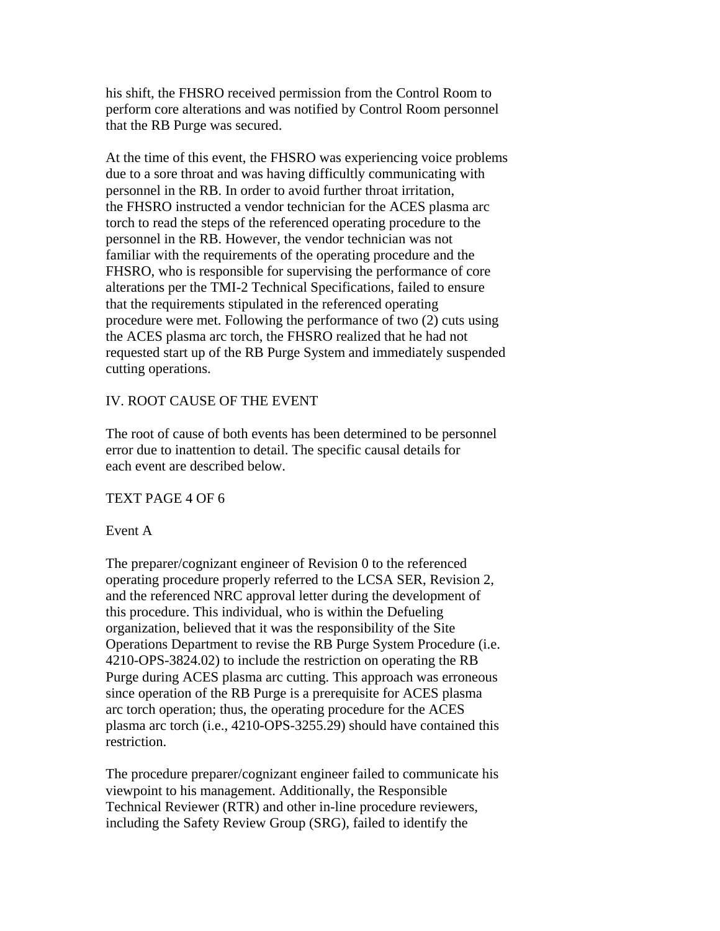his shift, the FHSRO received permission from the Control Room to perform core alterations and was notified by Control Room personnel that the RB Purge was secured.

At the time of this event, the FHSRO was experiencing voice problems due to a sore throat and was having difficultly communicating with personnel in the RB. In order to avoid further throat irritation, the FHSRO instructed a vendor technician for the ACES plasma arc torch to read the steps of the referenced operating procedure to the personnel in the RB. However, the vendor technician was not familiar with the requirements of the operating procedure and the FHSRO, who is responsible for supervising the performance of core alterations per the TMI-2 Technical Specifications, failed to ensure that the requirements stipulated in the referenced operating procedure were met. Following the performance of two (2) cuts using the ACES plasma arc torch, the FHSRO realized that he had not requested start up of the RB Purge System and immediately suspended cutting operations.

# IV. ROOT CAUSE OF THE EVENT

The root of cause of both events has been determined to be personnel error due to inattention to detail. The specific causal details for each event are described below.

### TEXT PAGE 4 OF 6

### Event A

The preparer/cognizant engineer of Revision 0 to the referenced operating procedure properly referred to the LCSA SER, Revision 2, and the referenced NRC approval letter during the development of this procedure. This individual, who is within the Defueling organization, believed that it was the responsibility of the Site Operations Department to revise the RB Purge System Procedure (i.e. 4210-OPS-3824.02) to include the restriction on operating the RB Purge during ACES plasma arc cutting. This approach was erroneous since operation of the RB Purge is a prerequisite for ACES plasma arc torch operation; thus, the operating procedure for the ACES plasma arc torch (i.e., 4210-OPS-3255.29) should have contained this restriction.

The procedure preparer/cognizant engineer failed to communicate his viewpoint to his management. Additionally, the Responsible Technical Reviewer (RTR) and other in-line procedure reviewers, including the Safety Review Group (SRG), failed to identify the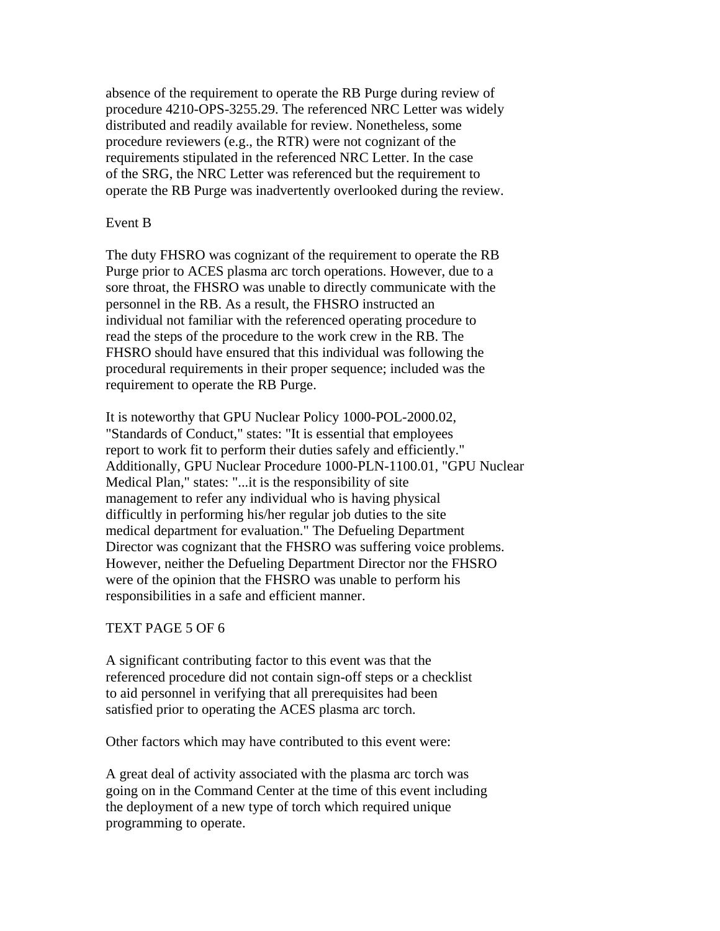absence of the requirement to operate the RB Purge during review of procedure 4210-OPS-3255.29. The referenced NRC Letter was widely distributed and readily available for review. Nonetheless, some procedure reviewers (e.g., the RTR) were not cognizant of the requirements stipulated in the referenced NRC Letter. In the case of the SRG, the NRC Letter was referenced but the requirement to operate the RB Purge was inadvertently overlooked during the review.

### Event B

The duty FHSRO was cognizant of the requirement to operate the RB Purge prior to ACES plasma arc torch operations. However, due to a sore throat, the FHSRO was unable to directly communicate with the personnel in the RB. As a result, the FHSRO instructed an individual not familiar with the referenced operating procedure to read the steps of the procedure to the work crew in the RB. The FHSRO should have ensured that this individual was following the procedural requirements in their proper sequence; included was the requirement to operate the RB Purge.

It is noteworthy that GPU Nuclear Policy 1000-POL-2000.02, "Standards of Conduct," states: "It is essential that employees report to work fit to perform their duties safely and efficiently." Additionally, GPU Nuclear Procedure 1000-PLN-1100.01, "GPU Nuclear Medical Plan," states: "...it is the responsibility of site management to refer any individual who is having physical difficultly in performing his/her regular job duties to the site medical department for evaluation." The Defueling Department Director was cognizant that the FHSRO was suffering voice problems. However, neither the Defueling Department Director nor the FHSRO were of the opinion that the FHSRO was unable to perform his responsibilities in a safe and efficient manner.

### TEXT PAGE 5 OF 6

A significant contributing factor to this event was that the referenced procedure did not contain sign-off steps or a checklist to aid personnel in verifying that all prerequisites had been satisfied prior to operating the ACES plasma arc torch.

Other factors which may have contributed to this event were:

A great deal of activity associated with the plasma arc torch was going on in the Command Center at the time of this event including the deployment of a new type of torch which required unique programming to operate.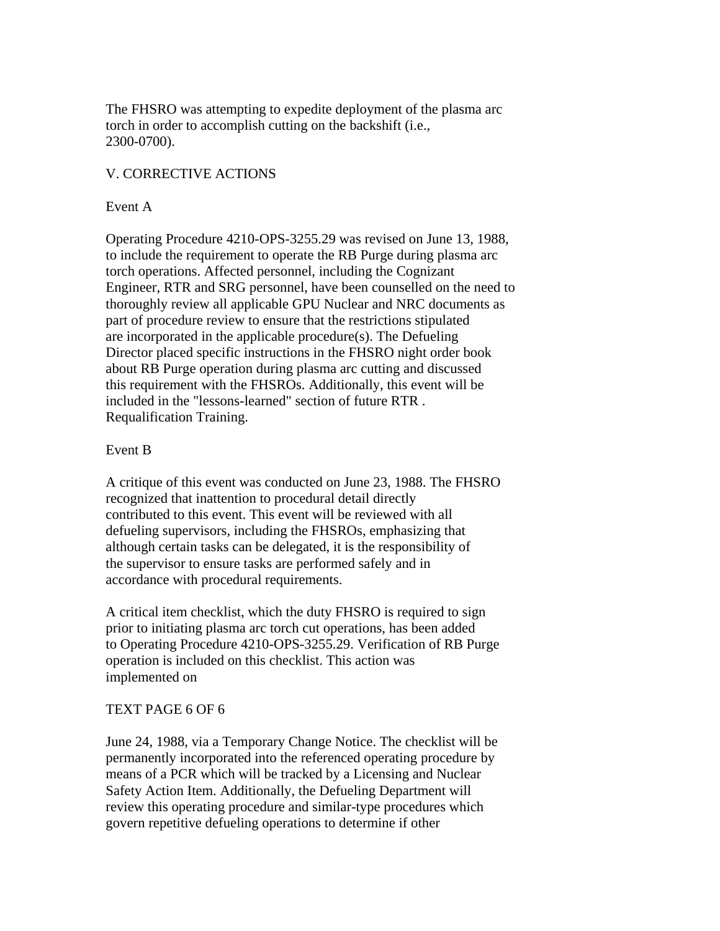The FHSRO was attempting to expedite deployment of the plasma arc torch in order to accomplish cutting on the backshift (i.e., 2300-0700).

# V. CORRECTIVE ACTIONS

### Event A

Operating Procedure 4210-OPS-3255.29 was revised on June 13, 1988, to include the requirement to operate the RB Purge during plasma arc torch operations. Affected personnel, including the Cognizant Engineer, RTR and SRG personnel, have been counselled on the need to thoroughly review all applicable GPU Nuclear and NRC documents as part of procedure review to ensure that the restrictions stipulated are incorporated in the applicable procedure(s). The Defueling Director placed specific instructions in the FHSRO night order book about RB Purge operation during plasma arc cutting and discussed this requirement with the FHSROs. Additionally, this event will be included in the "lessons-learned" section of future RTR . Requalification Training.

#### Event B

A critique of this event was conducted on June 23, 1988. The FHSRO recognized that inattention to procedural detail directly contributed to this event. This event will be reviewed with all defueling supervisors, including the FHSROs, emphasizing that although certain tasks can be delegated, it is the responsibility of the supervisor to ensure tasks are performed safely and in accordance with procedural requirements.

A critical item checklist, which the duty FHSRO is required to sign prior to initiating plasma arc torch cut operations, has been added to Operating Procedure 4210-OPS-3255.29. Verification of RB Purge operation is included on this checklist. This action was implemented on

### TEXT PAGE 6 OF 6

June 24, 1988, via a Temporary Change Notice. The checklist will be permanently incorporated into the referenced operating procedure by means of a PCR which will be tracked by a Licensing and Nuclear Safety Action Item. Additionally, the Defueling Department will review this operating procedure and similar-type procedures which govern repetitive defueling operations to determine if other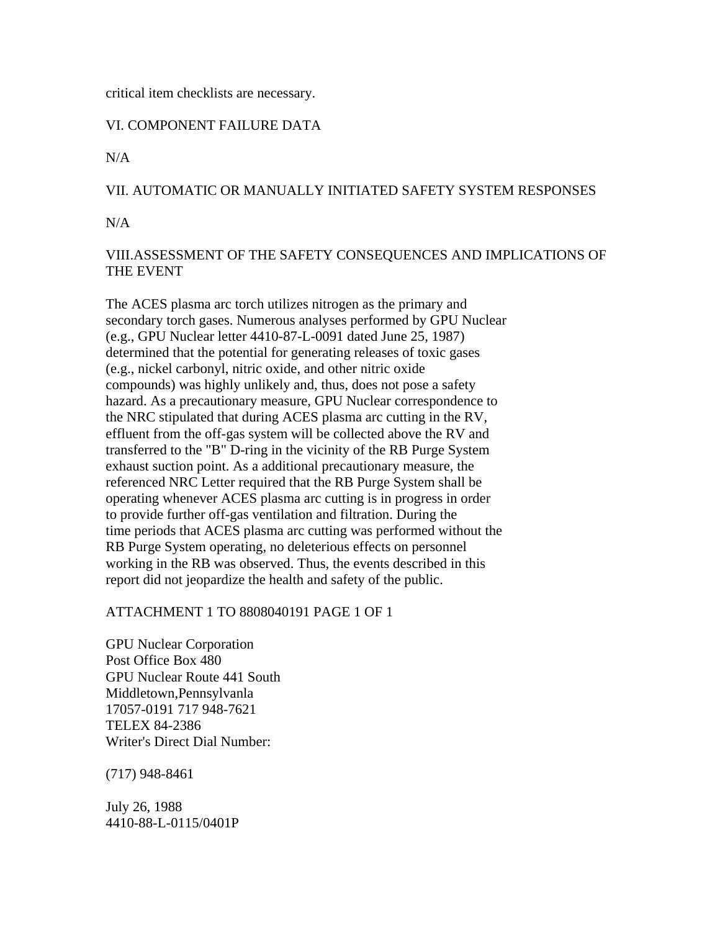#### critical item checklists are necessary.

# VI. COMPONENT FAILURE DATA

 $N/A$ 

# VII. AUTOMATIC OR MANUALLY INITIATED SAFETY SYSTEM RESPONSES

 $N/A$ 

# VIII.ASSESSMENT OF THE SAFETY CONSEQUENCES AND IMPLICATIONS OF THE EVENT

The ACES plasma arc torch utilizes nitrogen as the primary and secondary torch gases. Numerous analyses performed by GPU Nuclear (e.g., GPU Nuclear letter 4410-87-L-0091 dated June 25, 1987) determined that the potential for generating releases of toxic gases (e.g., nickel carbonyl, nitric oxide, and other nitric oxide compounds) was highly unlikely and, thus, does not pose a safety hazard. As a precautionary measure, GPU Nuclear correspondence to the NRC stipulated that during ACES plasma arc cutting in the RV, effluent from the off-gas system will be collected above the RV and transferred to the "B" D-ring in the vicinity of the RB Purge System exhaust suction point. As a additional precautionary measure, the referenced NRC Letter required that the RB Purge System shall be operating whenever ACES plasma arc cutting is in progress in order to provide further off-gas ventilation and filtration. During the time periods that ACES plasma arc cutting was performed without the RB Purge System operating, no deleterious effects on personnel working in the RB was observed. Thus, the events described in this report did not jeopardize the health and safety of the public.

### ATTACHMENT 1 TO 8808040191 PAGE 1 OF 1

GPU Nuclear Corporation Post Office Box 480 GPU Nuclear Route 441 South Middletown,Pennsylvanla 17057-0191 717 948-7621 TELEX 84-2386 Writer's Direct Dial Number:

(717) 948-8461

July 26, 1988 4410-88-L-0115/0401P